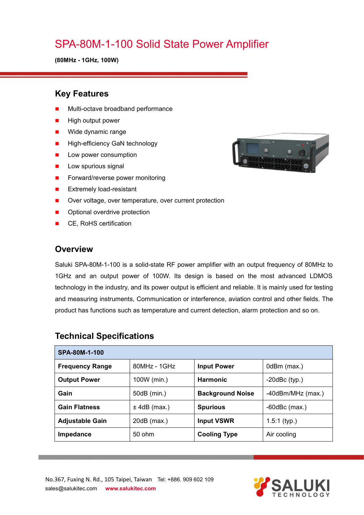# SPA-80M-1-100 Solid State Power Amplifier

**(80MHz - 1GHz, 100W)**

### **Key Features**

- Multi-octave broadband performance
- High output power
- **Nide dynamic range**
- **High-efficiency GaN technology**
- **Low power consumption**
- $\blacksquare$  Low spurious signal
- Forward/reverse power monitoring
- **EXtremely load-resistant**
- Over voltage, over temperature, over current protection
- **Department** Optional overdrive protection
- CE, RoHS certification

### **Overview**

Saluki SPA-80M-1-100 is a solid-state RF power amplifier with an output frequency of 80MHz to 1GHz and an output power of 100W. Its design is based on the most advanced LDMOS technology in the industry, and its power output is efficient and reliable. It is mainly used for testing and measuring instruments, Communication or interference, aviation control and other fields. The product has functions such as temperature and current detection, alarm protection and so on.

| SPA-80M-1-100          |                |                         |                        |  |
|------------------------|----------------|-------------------------|------------------------|--|
| <b>Frequency Range</b> | $80MHz - 1GHz$ | <b>Input Power</b>      | 0dBm (max.)            |  |
| <b>Output Power</b>    | 100W (min.)    | <b>Harmonic</b>         | $-20$ dBc $(typ.)$     |  |
| Gain                   | 50dB (min.)    | <b>Background Noise</b> | $-40$ dBm/MHz $(max.)$ |  |
| <b>Gain Flatness</b>   | $±$ 4dB (max.) | <b>Spurious</b>         | $-60$ dBc $(max.)$     |  |
| <b>Adjustable Gain</b> | $20dB$ (max.)  | <b>Input VSWR</b>       | $1.5:1$ (typ.)         |  |
| Impedance              | 50 ohm         | <b>Cooling Type</b>     | Air cooling            |  |

## **Technical Specifications**